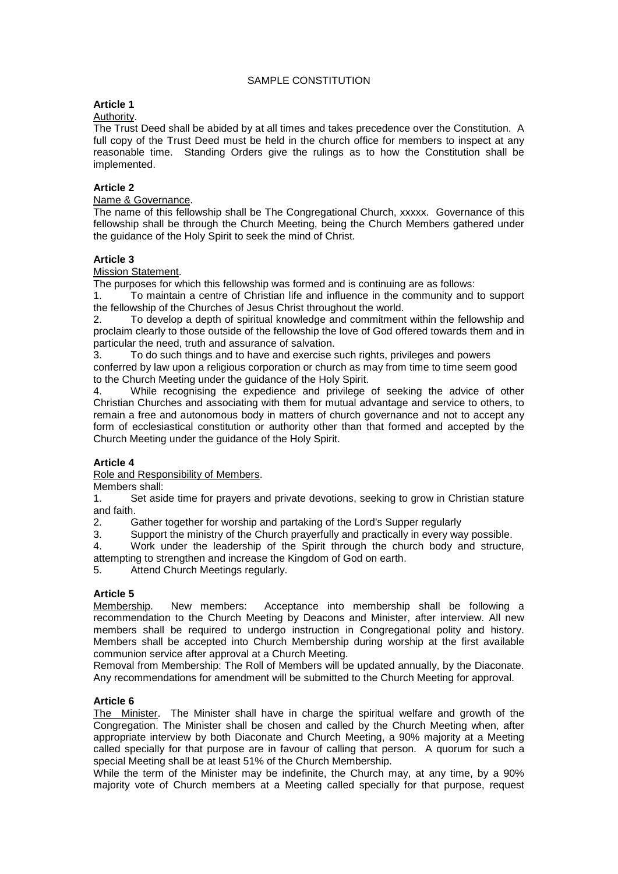# SAMPLE CONSTITUTION

# **Article 1**

## Authority.

The Trust Deed shall be abided by at all times and takes precedence over the Constitution. A full copy of the Trust Deed must be held in the church office for members to inspect at any reasonable time. Standing Orders give the rulings as to how the Constitution shall be implemented.

## **Article 2**

## Name & Governance.

The name of this fellowship shall be The Congregational Church, xxxxx. Governance of this fellowship shall be through the Church Meeting, being the Church Members gathered under the guidance of the Holy Spirit to seek the mind of Christ.

# **Article 3**

## Mission Statement.

The purposes for which this fellowship was formed and is continuing are as follows:

1. To maintain a centre of Christian life and influence in the community and to support the fellowship of the Churches of Jesus Christ throughout the world.

2. To develop a depth of spiritual knowledge and commitment within the fellowship and proclaim clearly to those outside of the fellowship the love of God offered towards them and in particular the need, truth and assurance of salvation.

3. To do such things and to have and exercise such rights, privileges and powers conferred by law upon a religious corporation or church as may from time to time seem good to the Church Meeting under the guidance of the Holy Spirit.<br>4. While recognising the expedience and privilege

While recognising the expedience and privilege of seeking the advice of other Christian Churches and associating with them for mutual advantage and service to others, to remain a free and autonomous body in matters of church governance and not to accept any form of ecclesiastical constitution or authority other than that formed and accepted by the Church Meeting under the guidance of the Holy Spirit.

# **Article 4**

Role and Responsibility of Members.

Members shall:

1. Set aside time for prayers and private devotions, seeking to grow in Christian stature and faith.

2. Gather together for worship and partaking of the Lord's Supper regularly<br>3. Support the ministry of the Church prayerfully and practically in every way

Support the ministry of the Church prayerfully and practically in every way possible.

4. Work under the leadership of the Spirit through the church body and structure, attempting to strengthen and increase the Kingdom of God on earth.

5. Attend Church Meetings regularly.

**Article 5**  New members: Acceptance into membership shall be following a recommendation to the Church Meeting by Deacons and Minister, after interview. All new members shall be required to undergo instruction in Congregational polity and history. Members shall be accepted into Church Membership during worship at the first available communion service after approval at a Church Meeting.

Removal from Membership: The Roll of Members will be updated annually, by the Diaconate. Any recommendations for amendment will be submitted to the Church Meeting for approval.

# **Article 6**

The Minister. The Minister shall have in charge the spiritual welfare and growth of the Congregation. The Minister shall be chosen and called by the Church Meeting when, after appropriate interview by both Diaconate and Church Meeting, a 90% majority at a Meeting called specially for that purpose are in favour of calling that person. A quorum for such a special Meeting shall be at least 51% of the Church Membership.

While the term of the Minister may be indefinite, the Church may, at any time, by a 90% majority vote of Church members at a Meeting called specially for that purpose, request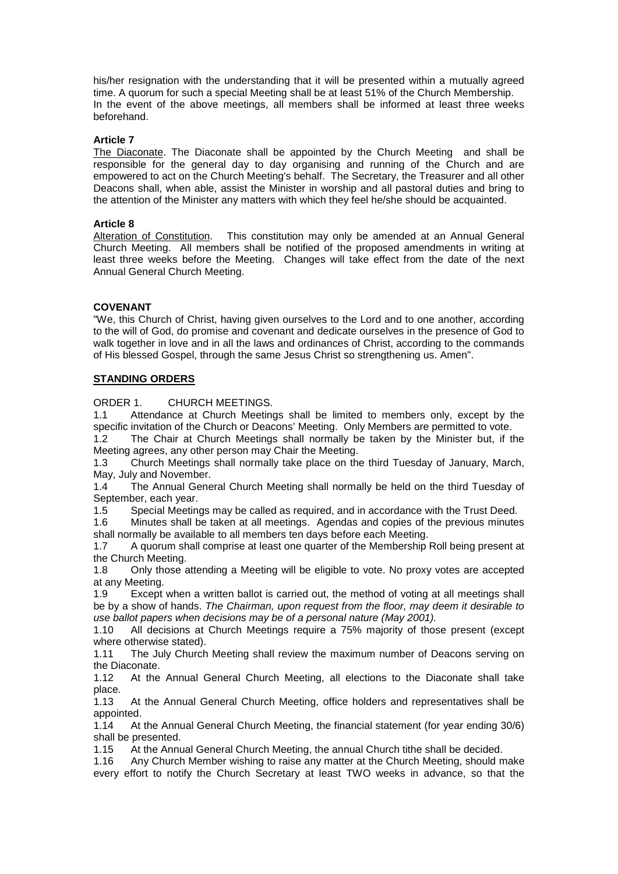his/her resignation with the understanding that it will be presented within a mutually agreed time. A quorum for such a special Meeting shall be at least 51% of the Church Membership. In the event of the above meetings, all members shall be informed at least three weeks beforehand.

## **Article 7**

The Diaconate. The Diaconate shall be appointed by the Church Meeting and shall be responsible for the general day to day organising and running of the Church and are empowered to act on the Church Meeting's behalf. The Secretary, the Treasurer and all other Deacons shall, when able, assist the Minister in worship and all pastoral duties and bring to the attention of the Minister any matters with which they feel he/she should be acquainted.

#### **Article 8**

Alteration of Constitution. This constitution may only be amended at an Annual General Church Meeting. All members shall be notified of the proposed amendments in writing at least three weeks before the Meeting. Changes will take effect from the date of the next Annual General Church Meeting.

# **COVENANT**

"We, this Church of Christ, having given ourselves to the Lord and to one another, according to the will of God, do promise and covenant and dedicate ourselves in the presence of God to walk together in love and in all the laws and ordinances of Christ, according to the commands of His blessed Gospel, through the same Jesus Christ so strengthening us. Amen".

# **STANDING ORDERS**

ORDER 1. CHURCH MEETINGS.

1.1 Attendance at Church Meetings shall be limited to members only, except by the specific invitation of the Church or Deacons' Meeting. Only Members are permitted to vote.

1.2 The Chair at Church Meetings shall normally be taken by the Minister but, if the Meeting agrees, any other person may Chair the Meeting.

1.3 Church Meetings shall normally take place on the third Tuesday of January, March, May, July and November.

1.4 The Annual General Church Meeting shall normally be held on the third Tuesday of September, each year.

1.5 Special Meetings may be called as required, and in accordance with the Trust Deed.

1.6 Minutes shall be taken at all meetings. Agendas and copies of the previous minutes shall normally be available to all members ten days before each Meeting.

1.7 A quorum shall comprise at least one quarter of the Membership Roll being present at the Church Meeting.

1.8 Only those attending a Meeting will be eligible to vote. No proxy votes are accepted at any Meeting.

1.9 Except when a written ballot is carried out, the method of voting at all meetings shall be by a show of hands. *The Chairman, upon request from the floor, may deem it desirable to use ballot papers when decisions may be of a personal nature (May 2001).*

1.10 All decisions at Church Meetings require a 75% majority of those present (except where otherwise stated).

1.11 The July Church Meeting shall review the maximum number of Deacons serving on the Diaconate.<br>1.12 At the

At the Annual General Church Meeting, all elections to the Diaconate shall take place.

1.13 At the Annual General Church Meeting, office holders and representatives shall be appointed.

1.14 At the Annual General Church Meeting, the financial statement (for year ending 30/6) shall be presented.

1.15 At the Annual General Church Meeting, the annual Church tithe shall be decided.

1.16 Any Church Member wishing to raise any matter at the Church Meeting, should make every effort to notify the Church Secretary at least TWO weeks in advance, so that the